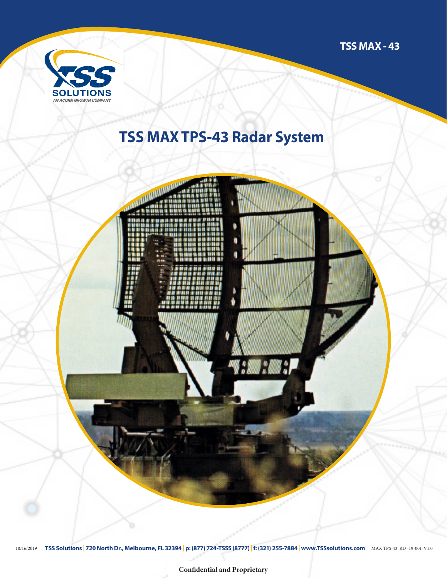

## **TSS MAX TPS-43 Radar System**

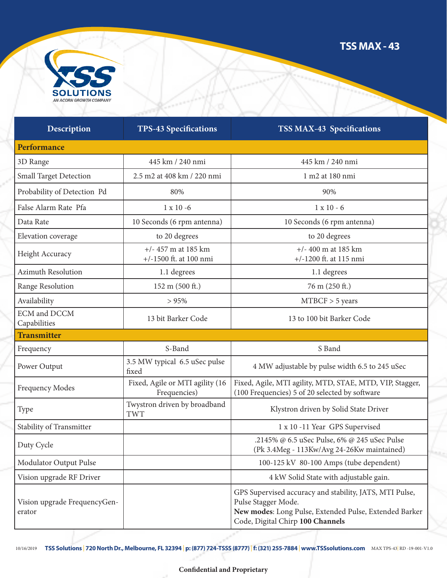

| <b>Description</b>                     | <b>TPS-43 Specifications</b>                    | <b>TSS MAX-43 Specifications</b>                                                                                                                                             |
|----------------------------------------|-------------------------------------------------|------------------------------------------------------------------------------------------------------------------------------------------------------------------------------|
| Performance                            |                                                 |                                                                                                                                                                              |
| 3D Range                               | 445 km / 240 nmi                                | 445 km / 240 nmi                                                                                                                                                             |
| Small Target Detection                 | 2.5 m2 at 408 km / 220 nmi                      | 1 m2 at 180 nmi                                                                                                                                                              |
| Probability of Detection Pd            | 80%                                             | 90%                                                                                                                                                                          |
| False Alarm Rate Pfa                   | $1 \times 10 - 6$                               | $1 x 10 - 6$                                                                                                                                                                 |
| Data Rate                              | 10 Seconds (6 rpm antenna)                      | 10 Seconds (6 rpm antenna)                                                                                                                                                   |
| Elevation coverage                     | to 20 degrees                                   | to 20 degrees                                                                                                                                                                |
| Height Accuracy                        | $+/- 457$ m at 185 km<br>+/-1500 ft. at 100 nmi | $+/- 400$ m at 185 km<br>$+/-1200$ ft. at 115 nmi                                                                                                                            |
| <b>Azimuth Resolution</b>              | 1.1 degrees                                     | 1.1 degrees                                                                                                                                                                  |
| Range Resolution                       | 152 m (500 ft.)                                 | 76 m (250 ft.)                                                                                                                                                               |
| Availability                           | > 95%                                           | $MTBCF > 5$ years                                                                                                                                                            |
| <b>ECM</b> and DCCM<br>Capabilities    | 13 bit Barker Code                              | 13 to 100 bit Barker Code                                                                                                                                                    |
| <b>Transmitter</b>                     |                                                 |                                                                                                                                                                              |
| Frequency                              | S-Band                                          | S Band                                                                                                                                                                       |
| Power Output                           | 3.5 MW typical 6.5 uSec pulse<br>fixed          | 4 MW adjustable by pulse width 6.5 to 245 uSec                                                                                                                               |
| <b>Frequency Modes</b>                 | Fixed, Agile or MTI agility (16<br>Frequencies) | Fixed, Agile, MTI agility, MTD, STAE, MTD, VIP, Stagger,<br>(100 Frequencies) 5 of 20 selected by software                                                                   |
| Type                                   | Twystron driven by broadband<br><b>TWT</b>      | Klystron driven by Solid State Driver                                                                                                                                        |
| Stability of Transmitter               |                                                 | 1 x 10 -11 Year GPS Supervised                                                                                                                                               |
| Duty Cycle                             |                                                 | .2145% @ 6.5 uSec Pulse, 6% @ 245 uSec Pulse<br>(Pk 3.4Meg - 113Kw/Avg 24-26Kw maintained)                                                                                   |
| Modulator Output Pulse                 |                                                 | 100-125 kV 80-100 Amps (tube dependent)                                                                                                                                      |
| Vision upgrade RF Driver               |                                                 | 4 kW Solid State with adjustable gain.                                                                                                                                       |
| Vision upgrade FrequencyGen-<br>erator |                                                 | GPS Supervised accuracy and stability, JATS, MTI Pulse,<br>Pulse Stagger Mode.<br>New modes: Long Pulse, Extended Pulse, Extended Barker<br>Code, Digital Chirp 100 Channels |

10/16/2019 **TSS Solutions** | **720 North Dr., Melbourne, FL 32394** | **p: (877) 724-TSSS (8777)** |**f: (321) 255-7884** | **www.TSSsolutions.com** MAX TPS-43| RD -19-001-V1.0